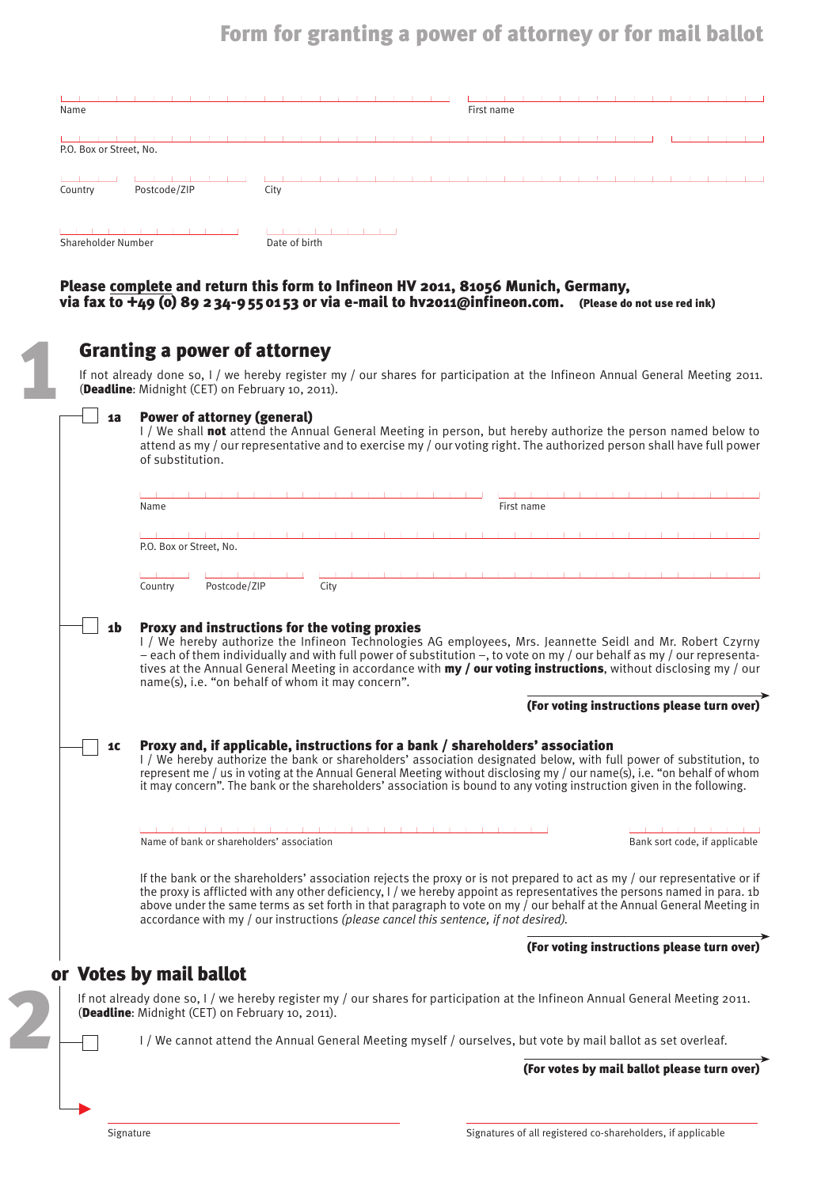# Form for granting a power of attorney or for mail ballot

| Name                    |               | First name |
|-------------------------|---------------|------------|
| P.O. Box or Street, No. |               |            |
| Postcode/ZIP<br>Country | City          |            |
| Shareholder Number      | Date of birth |            |

#### Please complete and return this form to Infineon HV 2011, 81056 Munich, Germany, via fax to +49 (0) 89 234-9550153 or via e-mail to hv2011@infineon.com. (Please do not use red ink)

|                                                                                                                                                                                                                                                                                                      | <b>Granting a power of attorney</b><br>If not already done so, I / we hereby register my / our shares for participation at the Infineon Annual General Meeting 2011.<br>(Deadline: Midnight (CET) on February 10, 2011).                                                                                                                                                                                                                                               |  |  |  |  |
|------------------------------------------------------------------------------------------------------------------------------------------------------------------------------------------------------------------------------------------------------------------------------------------------------|------------------------------------------------------------------------------------------------------------------------------------------------------------------------------------------------------------------------------------------------------------------------------------------------------------------------------------------------------------------------------------------------------------------------------------------------------------------------|--|--|--|--|
| <b>Power of attorney (general)</b><br>1a<br>I / We shall not attend the Annual General Meeting in person, but hereby authorize the person named below to<br>attend as my / our representative and to exercise my / our voting right. The authorized person shall have full power<br>of substitution. |                                                                                                                                                                                                                                                                                                                                                                                                                                                                        |  |  |  |  |
|                                                                                                                                                                                                                                                                                                      | First name<br>Name                                                                                                                                                                                                                                                                                                                                                                                                                                                     |  |  |  |  |
|                                                                                                                                                                                                                                                                                                      | P.O. Box or Street, No.                                                                                                                                                                                                                                                                                                                                                                                                                                                |  |  |  |  |
|                                                                                                                                                                                                                                                                                                      | Postcode/ZIP<br>City<br>Country                                                                                                                                                                                                                                                                                                                                                                                                                                        |  |  |  |  |
| 1b                                                                                                                                                                                                                                                                                                   | Proxy and instructions for the voting proxies<br>I / We hereby authorize the Infineon Technologies AG employees, Mrs. Jeannette Seidl and Mr. Robert Czyrny<br>- each of them individually and with full power of substitution -, to vote on my / our behalf as my / our representa-<br>tives at the Annual General Meeting in accordance with my / our voting instructions, without disclosing my / our<br>name(s), i.e. "on behalf of whom it may concern".          |  |  |  |  |
|                                                                                                                                                                                                                                                                                                      | (For voting instructions please turn over)                                                                                                                                                                                                                                                                                                                                                                                                                             |  |  |  |  |
| 1C                                                                                                                                                                                                                                                                                                   | Proxy and, if applicable, instructions for a bank / shareholders' association<br>I / We hereby authorize the bank or shareholders' association designated below, with full power of substitution, to<br>represent me / us in voting at the Annual General Meeting without disclosing my / our name(s), i.e. "on behalf of whom<br>it may concern". The bank or the shareholders' association is bound to any voting instruction given in the following.                |  |  |  |  |
|                                                                                                                                                                                                                                                                                                      | Name of bank or shareholders' association<br>Bank sort code, if applicable                                                                                                                                                                                                                                                                                                                                                                                             |  |  |  |  |
|                                                                                                                                                                                                                                                                                                      | If the bank or the shareholders' association rejects the proxy or is not prepared to act as my / our representative or if<br>the proxy is afflicted with any other deficiency, I / we hereby appoint as representatives the persons named in para. 1b<br>above under the same terms as set forth in that paragraph to vote on my / our behalf at the Annual General Meeting in<br>accordance with my / our instructions (please cancel this sentence, if not desired). |  |  |  |  |
|                                                                                                                                                                                                                                                                                                      | (For voting instructions please turn over)                                                                                                                                                                                                                                                                                                                                                                                                                             |  |  |  |  |
|                                                                                                                                                                                                                                                                                                      | or Votes by mail ballot                                                                                                                                                                                                                                                                                                                                                                                                                                                |  |  |  |  |
|                                                                                                                                                                                                                                                                                                      | If not already done so, I / we hereby register my / our shares for participation at the Infineon Annual General Meeting 2011.<br>(Deadline: Midnight (CET) on February 10, 2011).                                                                                                                                                                                                                                                                                      |  |  |  |  |
|                                                                                                                                                                                                                                                                                                      | I / We cannot attend the Annual General Meeting myself / ourselves, but vote by mail ballot as set overleaf.                                                                                                                                                                                                                                                                                                                                                           |  |  |  |  |
|                                                                                                                                                                                                                                                                                                      | (For votes by mail ballot please turn over)                                                                                                                                                                                                                                                                                                                                                                                                                            |  |  |  |  |
|                                                                                                                                                                                                                                                                                                      |                                                                                                                                                                                                                                                                                                                                                                                                                                                                        |  |  |  |  |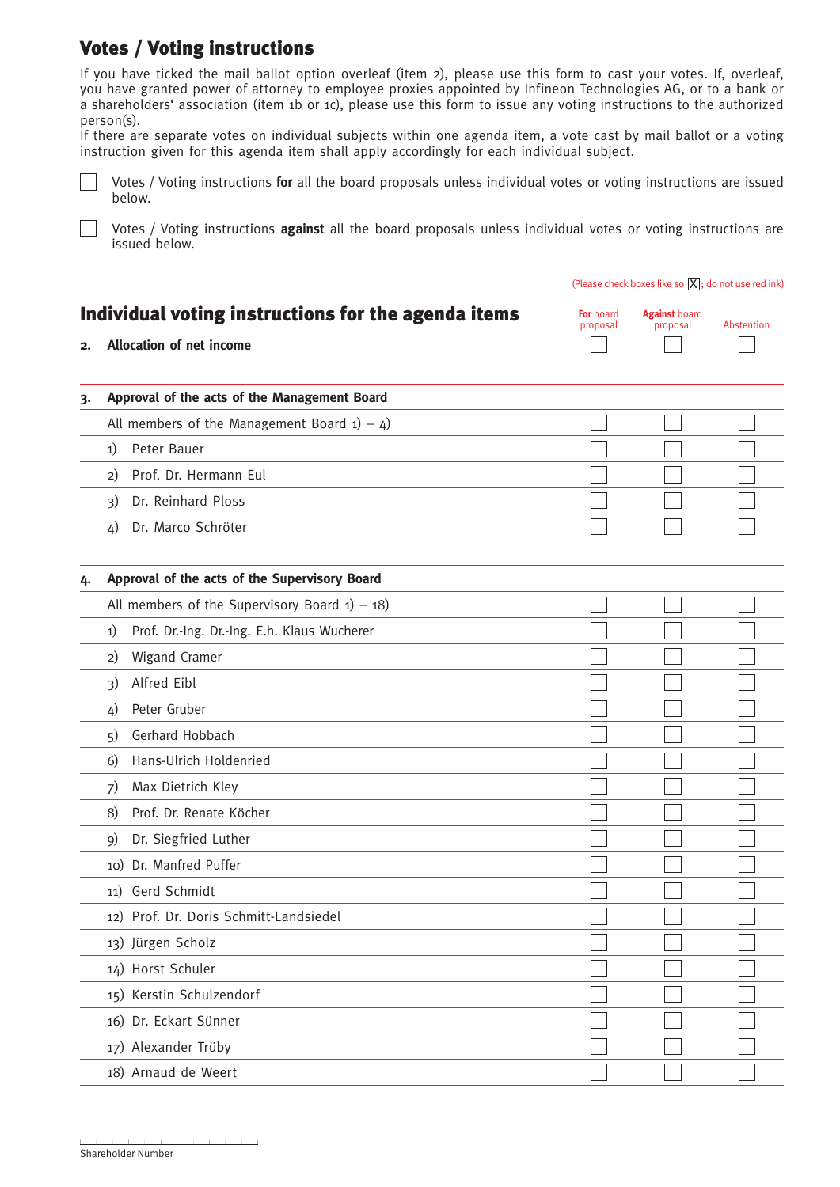## Votes / Voting instructions

 $\mathbf{L}$ 

If you have ticked the mail ballot option overleaf (item 2), please use this form to cast your votes. If, overleaf, you have granted power of attorney to employee proxies appointed by Infineon Technologies AG, or to a bank or a shareholders' association (item 1b or 1c), please use this form to issue any voting instructions to the authorized person(s).

If there are separate votes on individual subjects within one agenda item, a vote cast by mail ballot or a voting instruction given for this agenda item shall apply accordingly for each individual subject.

 $\mathbb{R}^n$ Votes / Voting instructions **for** all the board proposals unless individual votes or voting instructions are issued below.

Votes / Voting instructions **against** all the board proposals unless individual votes or voting instructions are issued below.

|    |                                                     | (Please check boxes like so $[X]$ ; do not use red ink) |                                  |            |
|----|-----------------------------------------------------|---------------------------------------------------------|----------------------------------|------------|
|    | Individual voting instructions for the agenda items | For board<br>proposal                                   | <b>Against board</b><br>proposal | Abstention |
| 2. | <b>Allocation of net income</b>                     |                                                         |                                  |            |
|    |                                                     |                                                         |                                  |            |
| 3. | Approval of the acts of the Management Board        |                                                         |                                  |            |
|    | All members of the Management Board $1) - 4$ )      |                                                         |                                  |            |
|    | Peter Bauer<br>1)                                   |                                                         |                                  |            |
|    | Prof. Dr. Hermann Eul<br>2)                         |                                                         |                                  |            |
|    | Dr. Reinhard Ploss<br>3)                            |                                                         |                                  |            |
|    | Dr. Marco Schröter<br>4)                            |                                                         |                                  |            |
|    | Approval of the acts of the Supervisory Board       |                                                         |                                  |            |
| 4. | All members of the Supervisory Board $1) - 18$      |                                                         |                                  |            |
|    | Prof. Dr.-Ing. Dr.-Ing. E.h. Klaus Wucherer<br>1)   |                                                         |                                  |            |
|    | Wigand Cramer<br>2)                                 |                                                         |                                  |            |
|    | Alfred Eibl<br>3)                                   |                                                         |                                  |            |
|    | Peter Gruber<br>4)                                  |                                                         |                                  |            |
|    | Gerhard Hobbach<br>5)                               |                                                         |                                  |            |
|    | Hans-Ulrich Holdenried<br>6)                        |                                                         |                                  |            |
|    | Max Dietrich Kley<br>7)                             |                                                         |                                  |            |
|    | Prof. Dr. Renate Köcher<br>8)                       |                                                         |                                  |            |
|    | Dr. Siegfried Luther<br>9)                          |                                                         |                                  |            |
|    | 10) Dr. Manfred Puffer                              |                                                         |                                  |            |
|    | 11) Gerd Schmidt                                    |                                                         |                                  |            |
|    | 12) Prof. Dr. Doris Schmitt-Landsiedel              |                                                         |                                  |            |
|    | 13) Jürgen Scholz                                   |                                                         |                                  |            |
|    | 14) Horst Schuler                                   |                                                         |                                  |            |
|    | 15) Kerstin Schulzendorf                            |                                                         |                                  |            |
|    | 16) Dr. Eckart Sünner                               |                                                         |                                  |            |
|    |                                                     |                                                         |                                  |            |
|    | 17) Alexander Trüby                                 |                                                         |                                  |            |
|    | 18) Arnaud de Weert                                 |                                                         |                                  |            |